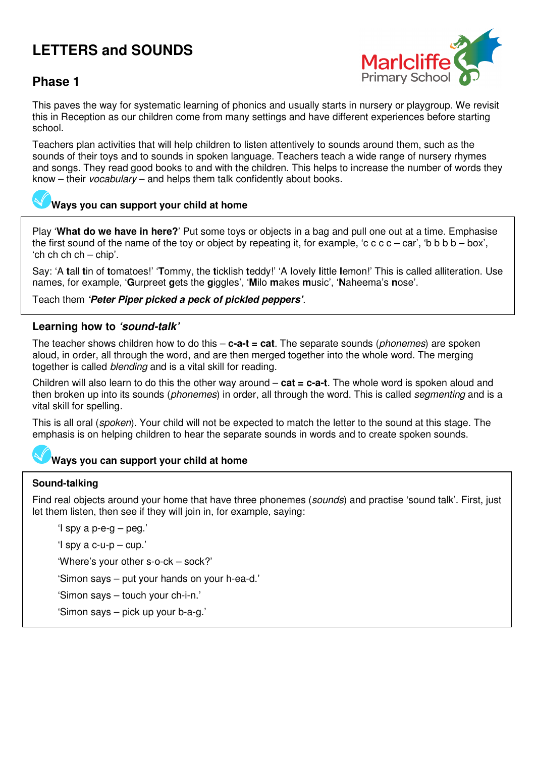# **LETTERS and SOUNDS**



# **Phase 1**

This paves the way for systematic learning of phonics and usually starts in nursery or playgroup. We revisit this in Reception as our children come from many settings and have different experiences before starting school.

Teachers plan activities that will help children to listen attentively to sounds around them, such as the sounds of their toys and to sounds in spoken language. Teachers teach a wide range of nursery rhymes and songs. They read good books to and with the children. This helps to increase the number of words they know – their vocabulary – and helps them talk confidently about books.

## **Ways you can support your child at home**

Play '**What do we have in here?**' Put some toys or objects in a bag and pull one out at a time. Emphasise the first sound of the name of the toy or object by repeating it, for example, 'c c c c – car', 'b b b b – box', 'ch ch ch ch – chip'.

Say: 'A **t**all **t**in of **t**omatoes!' '**T**ommy, the **t**icklish **t**eddy!' 'A **l**ovely **l**ittle **l**emon!' This is called alliteration. Use names, for example, '**G**urpreet **g**ets the **g**iggles', '**M**ilo **m**akes **m**usic', '**N**aheema's **n**ose'.

Teach them **'Peter Piper picked a peck of pickled peppers'**.

## **Learning how to 'sound-talk'**

The teacher shows children how to do this – **c-a-t = cat**. The separate sounds (phonemes) are spoken aloud, in order, all through the word, and are then merged together into the whole word. The merging together is called blending and is a vital skill for reading.

Children will also learn to do this the other way around – **cat = c-a-t**. The whole word is spoken aloud and then broken up into its sounds (*phonemes*) in order, all through the word. This is called *segmenting* and is a vital skill for spelling.

This is all oral (spoken). Your child will not be expected to match the letter to the sound at this stage. The emphasis is on helping children to hear the separate sounds in words and to create spoken sounds.

## **Ways you can support your child at home**

## **Sound-talking**

Find real objects around your home that have three phonemes (sounds) and practise 'sound talk'. First, just let them listen, then see if they will join in, for example, saying:

'I spy a p-e-g – peg.'

'I spy a c-u-p – cup.'

'Where's your other s-o-ck – sock?'

'Simon says – put your hands on your h-ea-d.'

'Simon says – touch your ch-i-n.'

'Simon says – pick up your b-a-g.'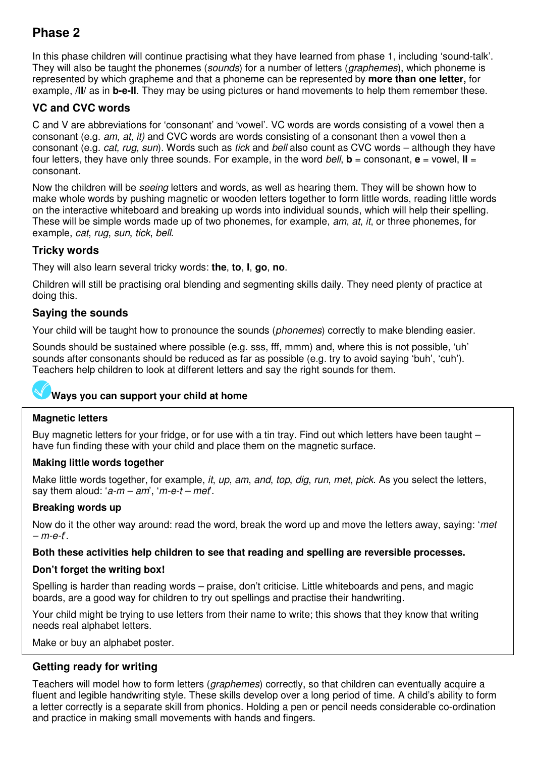# **Phase 2**

In this phase children will continue practising what they have learned from phase 1, including 'sound-talk'. They will also be taught the phonemes (*sounds*) for a number of letters (*graphemes*), which phoneme is represented by which grapheme and that a phoneme can be represented by **more than one letter,** for example, **/ll/** as in **b-e-ll**. They may be using pictures or hand movements to help them remember these.

## **VC and CVC words**

C and V are abbreviations for 'consonant' and 'vowel'. VC words are words consisting of a vowel then a consonant (e.g. am, at, it) and CVC words are words consisting of a consonant then a vowel then a consonant (e.g. *cat, rug, sun*). Words such as *tick* and *bell* also count as CVC words – although they have four letters, they have only three sounds. For example, in the word bell,  $\mathbf{b} =$  consonant,  $\mathbf{e} =$  vowel,  $\mathbf{II} =$ consonant.

Now the children will be seeing letters and words, as well as hearing them. They will be shown how to make whole words by pushing magnetic or wooden letters together to form little words, reading little words on the interactive whiteboard and breaking up words into individual sounds, which will help their spelling. These will be simple words made up of two phonemes, for example, *am*, *at, it*, or three phonemes, for example, cat, rug, sun, tick, bell.

## **Tricky words**

They will also learn several tricky words: **the**, **to**, **I**, **go**, **no**.

Children will still be practising oral blending and segmenting skills daily. They need plenty of practice at doing this.

## **Saying the sounds**

Your child will be taught how to pronounce the sounds (*phonemes*) correctly to make blending easier.

Sounds should be sustained where possible (e.g. sss, fff, mmm) and, where this is not possible, 'uh' sounds after consonants should be reduced as far as possible (e.g. try to avoid saying 'buh', 'cuh'). Teachers help children to look at different letters and say the right sounds for them.

## **Ways you can support your child at home**

#### **Magnetic letters**

Buy magnetic letters for your fridge, or for use with a tin tray. Find out which letters have been taught – have fun finding these with your child and place them on the magnetic surface.

#### **Making little words together**

Make little words together, for example, *it, up, am, and, top, dig, run, met, pick*. As you select the letters, say them aloud: ' $a-m-am'$ , 'm-e-t – met'.

#### **Breaking words up**

Now do it the other way around: read the word, break the word up and move the letters away, saying: 'met  $-m-e-f$ .

#### **Both these activities help children to see that reading and spelling are reversible processes.**

#### **Don't forget the writing box!**

Spelling is harder than reading words – praise, don't criticise. Little whiteboards and pens, and magic boards, are a good way for children to try out spellings and practise their handwriting.

Your child might be trying to use letters from their name to write; this shows that they know that writing needs real alphabet letters.

Make or buy an alphabet poster.

## **Getting ready for writing**

Teachers will model how to form letters (*graphemes*) correctly, so that children can eventually acquire a fluent and legible handwriting style. These skills develop over a long period of time. A child's ability to form a letter correctly is a separate skill from phonics. Holding a pen or pencil needs considerable co-ordination and practice in making small movements with hands and fingers.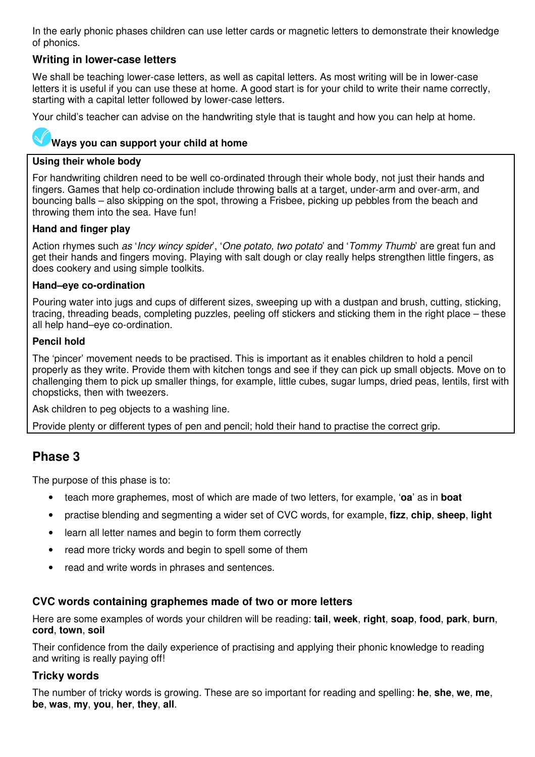In the early phonic phases children can use letter cards or magnetic letters to demonstrate their knowledge of phonics.

## **Writing in lower-case letters**

We shall be teaching lower-case letters, as well as capital letters. As most writing will be in lower-case letters it is useful if you can use these at home. A good start is for your child to write their name correctly, starting with a capital letter followed by lower-case letters.

Your child's teacher can advise on the handwriting style that is taught and how you can help at home.

#### **Ways you can support your child at home**

#### **Using their whole body**

For handwriting children need to be well co-ordinated through their whole body, not just their hands and fingers. Games that help co-ordination include throwing balls at a target, under-arm and over-arm, and bouncing balls – also skipping on the spot, throwing a Frisbee, picking up pebbles from the beach and throwing them into the sea. Have fun!

#### **Hand and finger play**

Action rhymes such as 'Incy wincy spider', 'One potato, two potato' and 'Tommy Thumb' are great fun and get their hands and fingers moving. Playing with salt dough or clay really helps strengthen little fingers, as does cookery and using simple toolkits.

#### **Hand–eye co-ordination**

Pouring water into jugs and cups of different sizes, sweeping up with a dustpan and brush, cutting, sticking, tracing, threading beads, completing puzzles, peeling off stickers and sticking them in the right place – these all help hand–eye co-ordination.

#### **Pencil hold**

The 'pincer' movement needs to be practised. This is important as it enables children to hold a pencil properly as they write. Provide them with kitchen tongs and see if they can pick up small objects. Move on to challenging them to pick up smaller things, for example, little cubes, sugar lumps, dried peas, lentils, first with chopsticks, then with tweezers.

Ask children to peg objects to a washing line.

Provide plenty or different types of pen and pencil; hold their hand to practise the correct grip.

# **Phase 3**

The purpose of this phase is to:

- teach more graphemes, most of which are made of two letters, for example, '**oa**' as in **boat**
- practise blending and segmenting a wider set of CVC words, for example, **fizz**, **chip**, **sheep**, **light**
- learn all letter names and begin to form them correctly
- read more tricky words and begin to spell some of them
- read and write words in phrases and sentences.

#### **CVC words containing graphemes made of two or more letters**

Here are some examples of words your children will be reading: **tail**, **week**, **right**, **soap**, **food**, **park**, **burn**, **cord**, **town**, **soil** 

Their confidence from the daily experience of practising and applying their phonic knowledge to reading and writing is really paying off!

#### **Tricky words**

The number of tricky words is growing. These are so important for reading and spelling: **he**, **she**, **we**, **me**, **be**, **was**, **my**, **you**, **her**, **they**, **all**.